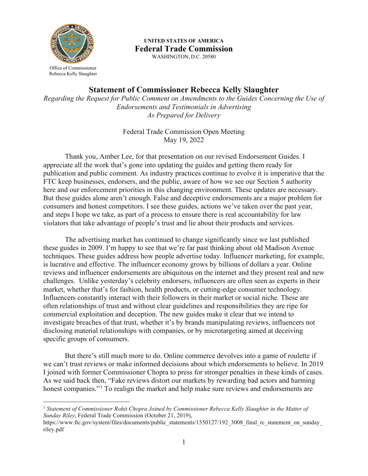

Office of Commissioner Rebecca Kelly Slaughter

**UNITED STATES OF AMERICA Federal Trade Commission** WASHINGTON, D.C. 20580

**Statement of Commissioner Rebecca Kelly Slaughter**

*Regarding the Request for Public Comment on Amendments to the Guides Concerning the Use of Endorsements and Testimonials in Advertising As Prepared for Delivery*

> Federal Trade Commission Open Meeting May 19, 2022

Thank you, Amber Lee, for that presentation on our revised Endorsement Guides. I appreciate all the work that's gone into updating the guides and getting them ready for publication and public comment. As industry practices continue to evolve it is imperative that the FTC keep businesses, endorsers, and the public, aware of how we see our Section 5 authority here and our enforcement priorities in this changing environment. These updates are necessary. But these guides alone aren't enough. False and deceptive endorsements are a major problem for consumers and honest competitors. I see these guides, actions we've taken over the past year, and steps I hope we take, as part of a process to ensure there is real accountability for law violators that take advantage of people's trust and lie about their products and services.

The advertising market has continued to change significantly since we last published these guides in 2009. I'm happy to see that we're far past thinking about old Madison Avenue techniques. These guides address how people advertise today. Influencer marketing, for example, is lucrative and effective. The influencer economy grows by billions of dollars a year. Online reviews and influencer endorsements are ubiquitous on the internet and they present real and new challenges. Unlike yesterday's celebrity endorsers, influencers are often seen as experts in their market, whether that's for fashion, health products, or cutting-edge consumer technology. Influencers constantly interact with their followers in their market or social niche. These are often relationships of trust and without clear guidelines and responsibilities they are ripe for commercial exploitation and deception. The new guides make it clear that we intend to investigate breaches of that trust, whether it's by brands manipulating reviews, influencers not disclosing material relationships with companies, or by microtargeting aimed at deceiving specific groups of consumers.

But there's still much more to do. Online commerce devolves into a game of roulette if we can't trust reviews or make informed decisions about which endorsements to believe. In 2019 I joined with former Commissioner Chopra to press for stronger penalties in these kinds of cases. As we said back then, "Fake reviews distort our markets by rewarding bad actors and harming honest companies."<sup>[1](#page-0-0)</sup> To realign the market and help make sure reviews and endorsements are

<span id="page-0-0"></span><sup>&</sup>lt;sup>1</sup> Statement of Commissioner Rohit Chopra Joined by Commissioner Rebecca Kelly Slaughter in the Matter of *Sunday Riley*, Federal Trade Commission (October 21, 2019),

https://www.ftc.gov/system/files/documents/public\_statements/1550127/192\_3008\_final\_rc\_statement\_on\_sunday riley.pdf